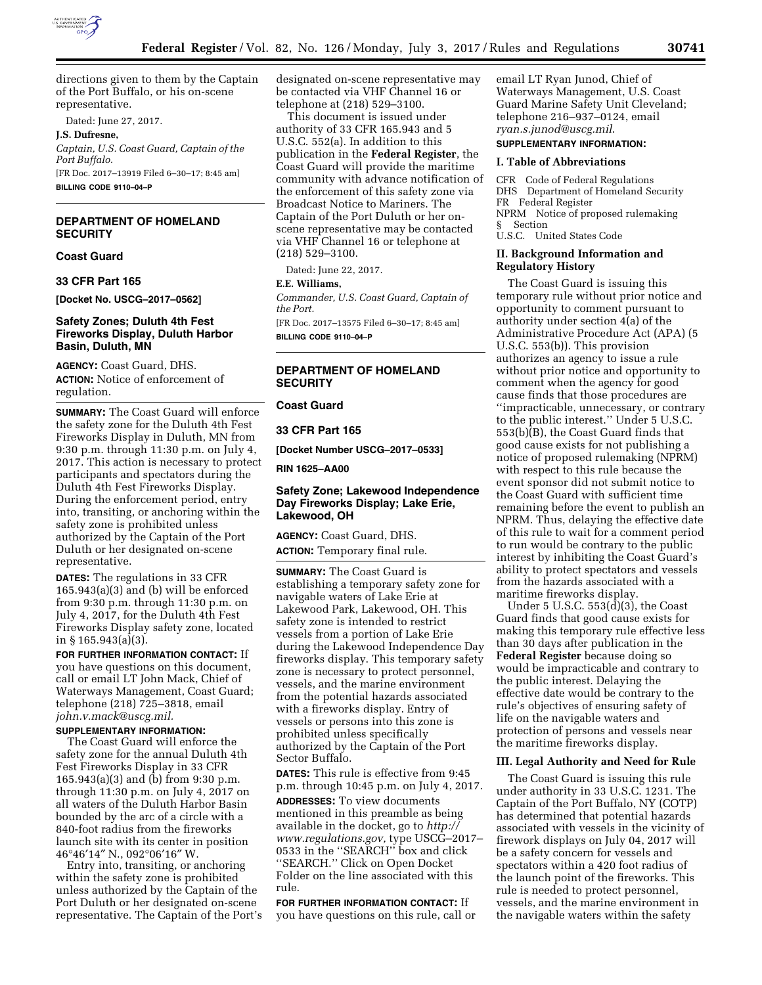

directions given to them by the Captain of the Port Buffalo, or his on-scene representative.

Dated: June 27, 2017.

**J.S. Dufresne,** 

*Captain, U.S. Coast Guard, Captain of the Port Buffalo.*  [FR Doc. 2017–13919 Filed 6–30–17; 8:45 am] **BILLING CODE 9110–04–P** 

# **DEPARTMENT OF HOMELAND SECURITY**

### **Coast Guard**

# **33 CFR Part 165**

**[Docket No. USCG–2017–0562]** 

## **Safety Zones; Duluth 4th Fest Fireworks Display, Duluth Harbor Basin, Duluth, MN**

**AGENCY:** Coast Guard, DHS. **ACTION:** Notice of enforcement of regulation.

**SUMMARY:** The Coast Guard will enforce the safety zone for the Duluth 4th Fest Fireworks Display in Duluth, MN from 9:30 p.m. through 11:30 p.m. on July 4, 2017. This action is necessary to protect participants and spectators during the Duluth 4th Fest Fireworks Display. During the enforcement period, entry into, transiting, or anchoring within the safety zone is prohibited unless authorized by the Captain of the Port Duluth or her designated on-scene representative.

**DATES:** The regulations in 33 CFR  $165.943(a)(3)$  and (b) will be enforced from 9:30 p.m. through 11:30 p.m. on July 4, 2017, for the Duluth 4th Fest Fireworks Display safety zone, located in § 165.943(a)(3).

**FOR FURTHER INFORMATION CONTACT:** If you have questions on this document, call or email LT John Mack, Chief of Waterways Management, Coast Guard; telephone (218) 725–3818, email *[john.v.mack@uscg.mil.](mailto:john.v.mack@uscg.mil)* 

# **SUPPLEMENTARY INFORMATION:**

The Coast Guard will enforce the safety zone for the annual Duluth 4th Fest Fireworks Display in 33 CFR 165.943(a)(3) and (b) from 9:30 p.m. through 11:30 p.m. on July 4, 2017 on all waters of the Duluth Harbor Basin bounded by the arc of a circle with a 840-foot radius from the fireworks launch site with its center in position 46°46′14″ N., 092°06′16″ W.

Entry into, transiting, or anchoring within the safety zone is prohibited unless authorized by the Captain of the Port Duluth or her designated on-scene representative. The Captain of the Port's

designated on-scene representative may be contacted via VHF Channel 16 or telephone at (218) 529–3100.

This document is issued under authority of 33 CFR 165.943 and 5 U.S.C. 552(a). In addition to this publication in the **Federal Register**, the Coast Guard will provide the maritime community with advance notification of the enforcement of this safety zone via Broadcast Notice to Mariners. The Captain of the Port Duluth or her onscene representative may be contacted via VHF Channel 16 or telephone at (218) 529–3100.

Dated: June 22, 2017.

#### **E.E. Williams,**

*Commander, U.S. Coast Guard, Captain of the Port.* 

[FR Doc. 2017–13575 Filed 6–30–17; 8:45 am] **BILLING CODE 9110–04–P** 

# **DEPARTMENT OF HOMELAND SECURITY**

# **Coast Guard**

#### **33 CFR Part 165**

**[Docket Number USCG–2017–0533]** 

**RIN 1625–AA00** 

## **Safety Zone; Lakewood Independence Day Fireworks Display; Lake Erie, Lakewood, OH**

**AGENCY:** Coast Guard, DHS. **ACTION:** Temporary final rule.

**SUMMARY:** The Coast Guard is establishing a temporary safety zone for navigable waters of Lake Erie at Lakewood Park, Lakewood, OH. This safety zone is intended to restrict vessels from a portion of Lake Erie during the Lakewood Independence Day fireworks display. This temporary safety zone is necessary to protect personnel, vessels, and the marine environment from the potential hazards associated with a fireworks display. Entry of vessels or persons into this zone is prohibited unless specifically authorized by the Captain of the Port Sector Buffalo.

**DATES:** This rule is effective from 9:45 p.m. through 10:45 p.m. on July 4, 2017. **ADDRESSES:** To view documents mentioned in this preamble as being available in the docket, go to *[http://](http://www.regulations.gov) [www.regulations.gov,](http://www.regulations.gov)* type USCG–2017– 0533 in the ''SEARCH'' box and click ''SEARCH.'' Click on Open Docket Folder on the line associated with this rule.

**FOR FURTHER INFORMATION CONTACT:** If you have questions on this rule, call or email LT Ryan Junod, Chief of Waterways Management, U.S. Coast Guard Marine Safety Unit Cleveland; telephone 216–937–0124, email *[ryan.s.junod@uscg.mil](mailto:ryan.s.junod@uscg.mil)*.

# **SUPPLEMENTARY INFORMATION:**

# **I. Table of Abbreviations**

CFR Code of Federal Regulations DHS Department of Homeland Security FR Federal Register NPRM Notice of proposed rulemaking § Section U.S.C. United States Code

#### **II. Background Information and Regulatory History**

The Coast Guard is issuing this temporary rule without prior notice and opportunity to comment pursuant to authority under section 4(a) of the Administrative Procedure Act (APA) (5 U.S.C. 553(b)). This provision authorizes an agency to issue a rule without prior notice and opportunity to comment when the agency for good cause finds that those procedures are ''impracticable, unnecessary, or contrary to the public interest.'' Under 5 U.S.C. 553(b)(B), the Coast Guard finds that good cause exists for not publishing a notice of proposed rulemaking (NPRM) with respect to this rule because the event sponsor did not submit notice to the Coast Guard with sufficient time remaining before the event to publish an NPRM. Thus, delaying the effective date of this rule to wait for a comment period to run would be contrary to the public interest by inhibiting the Coast Guard's ability to protect spectators and vessels from the hazards associated with a maritime fireworks display.

Under 5 U.S.C.  $553(\overline{d})(3)$ , the Coast Guard finds that good cause exists for making this temporary rule effective less than 30 days after publication in the **Federal Register** because doing so would be impracticable and contrary to the public interest. Delaying the effective date would be contrary to the rule's objectives of ensuring safety of life on the navigable waters and protection of persons and vessels near the maritime fireworks display.

#### **III. Legal Authority and Need for Rule**

The Coast Guard is issuing this rule under authority in 33 U.S.C. 1231. The Captain of the Port Buffalo, NY (COTP) has determined that potential hazards associated with vessels in the vicinity of firework displays on July 04, 2017 will be a safety concern for vessels and spectators within a 420 foot radius of the launch point of the fireworks. This rule is needed to protect personnel, vessels, and the marine environment in the navigable waters within the safety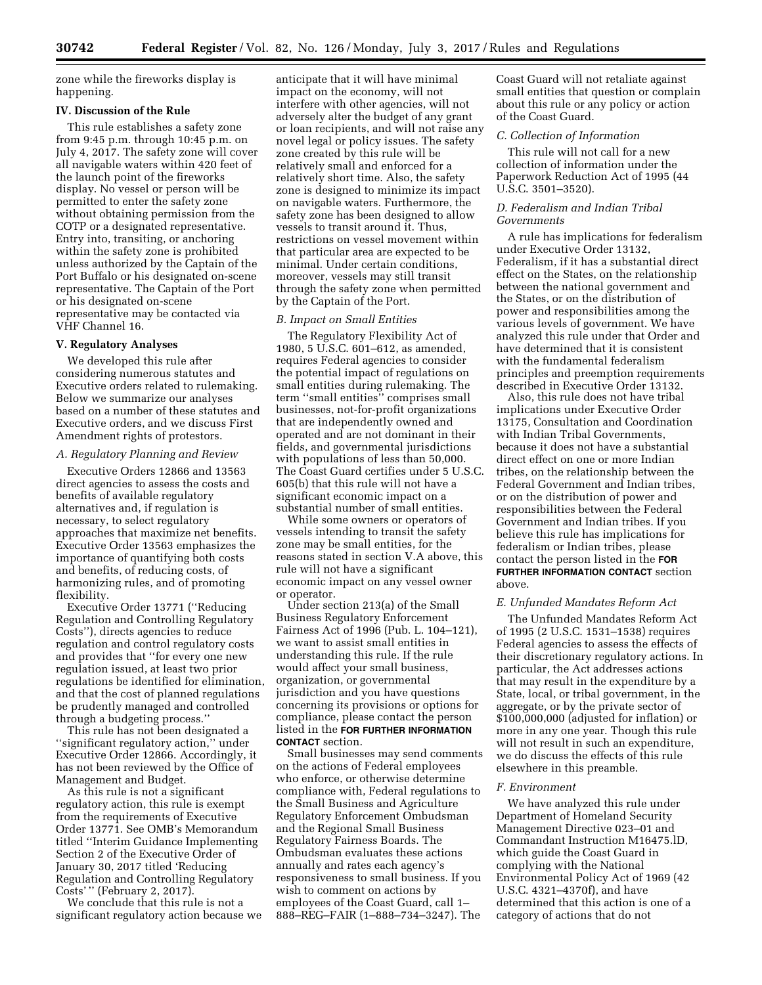zone while the fireworks display is happening.

## **IV. Discussion of the Rule**

This rule establishes a safety zone from 9:45 p.m. through 10:45 p.m. on July 4, 2017. The safety zone will cover all navigable waters within 420 feet of the launch point of the fireworks display. No vessel or person will be permitted to enter the safety zone without obtaining permission from the COTP or a designated representative. Entry into, transiting, or anchoring within the safety zone is prohibited unless authorized by the Captain of the Port Buffalo or his designated on-scene representative. The Captain of the Port or his designated on-scene representative may be contacted via VHF Channel 16.

#### **V. Regulatory Analyses**

We developed this rule after considering numerous statutes and Executive orders related to rulemaking. Below we summarize our analyses based on a number of these statutes and Executive orders, and we discuss First Amendment rights of protestors.

#### *A. Regulatory Planning and Review*

Executive Orders 12866 and 13563 direct agencies to assess the costs and benefits of available regulatory alternatives and, if regulation is necessary, to select regulatory approaches that maximize net benefits. Executive Order 13563 emphasizes the importance of quantifying both costs and benefits, of reducing costs, of harmonizing rules, and of promoting flexibility.

Executive Order 13771 (''Reducing Regulation and Controlling Regulatory Costs''), directs agencies to reduce regulation and control regulatory costs and provides that ''for every one new regulation issued, at least two prior regulations be identified for elimination, and that the cost of planned regulations be prudently managed and controlled through a budgeting process.''

This rule has not been designated a ''significant regulatory action,'' under Executive Order 12866. Accordingly, it has not been reviewed by the Office of Management and Budget.

As this rule is not a significant regulatory action, this rule is exempt from the requirements of Executive Order 13771. See OMB's Memorandum titled ''Interim Guidance Implementing Section 2 of the Executive Order of January 30, 2017 titled 'Reducing Regulation and Controlling Regulatory Costs' '' (February 2, 2017).

We conclude that this rule is not a significant regulatory action because we anticipate that it will have minimal impact on the economy, will not interfere with other agencies, will not adversely alter the budget of any grant or loan recipients, and will not raise any novel legal or policy issues. The safety zone created by this rule will be relatively small and enforced for a relatively short time. Also, the safety zone is designed to minimize its impact on navigable waters. Furthermore, the safety zone has been designed to allow vessels to transit around it. Thus, restrictions on vessel movement within that particular area are expected to be minimal. Under certain conditions, moreover, vessels may still transit through the safety zone when permitted by the Captain of the Port.

## *B. Impact on Small Entities*

The Regulatory Flexibility Act of 1980, 5 U.S.C. 601–612, as amended, requires Federal agencies to consider the potential impact of regulations on small entities during rulemaking. The term ''small entities'' comprises small businesses, not-for-profit organizations that are independently owned and operated and are not dominant in their fields, and governmental jurisdictions with populations of less than 50,000. The Coast Guard certifies under 5 U.S.C. 605(b) that this rule will not have a significant economic impact on a substantial number of small entities.

While some owners or operators of vessels intending to transit the safety zone may be small entities, for the reasons stated in section V.A above, this rule will not have a significant economic impact on any vessel owner or operator.

Under section 213(a) of the Small Business Regulatory Enforcement Fairness Act of 1996 (Pub. L. 104–121), we want to assist small entities in understanding this rule. If the rule would affect your small business, organization, or governmental jurisdiction and you have questions concerning its provisions or options for compliance, please contact the person listed in the **FOR FURTHER INFORMATION CONTACT** section.

Small businesses may send comments on the actions of Federal employees who enforce, or otherwise determine compliance with, Federal regulations to the Small Business and Agriculture Regulatory Enforcement Ombudsman and the Regional Small Business Regulatory Fairness Boards. The Ombudsman evaluates these actions annually and rates each agency's responsiveness to small business. If you wish to comment on actions by employees of the Coast Guard, call 1– 888–REG–FAIR (1–888–734–3247). The

Coast Guard will not retaliate against small entities that question or complain about this rule or any policy or action of the Coast Guard.

#### *C. Collection of Information*

This rule will not call for a new collection of information under the Paperwork Reduction Act of 1995 (44 U.S.C. 3501–3520).

#### *D. Federalism and Indian Tribal Governments*

A rule has implications for federalism under Executive Order 13132, Federalism, if it has a substantial direct effect on the States, on the relationship between the national government and the States, or on the distribution of power and responsibilities among the various levels of government. We have analyzed this rule under that Order and have determined that it is consistent with the fundamental federalism principles and preemption requirements described in Executive Order 13132.

Also, this rule does not have tribal implications under Executive Order 13175, Consultation and Coordination with Indian Tribal Governments, because it does not have a substantial direct effect on one or more Indian tribes, on the relationship between the Federal Government and Indian tribes, or on the distribution of power and responsibilities between the Federal Government and Indian tribes. If you believe this rule has implications for federalism or Indian tribes, please contact the person listed in the **FOR FURTHER INFORMATION CONTACT** section above.

#### *E. Unfunded Mandates Reform Act*

The Unfunded Mandates Reform Act of 1995 (2 U.S.C. 1531–1538) requires Federal agencies to assess the effects of their discretionary regulatory actions. In particular, the Act addresses actions that may result in the expenditure by a State, local, or tribal government, in the aggregate, or by the private sector of \$100,000,000 (adjusted for inflation) or more in any one year. Though this rule will not result in such an expenditure, we do discuss the effects of this rule elsewhere in this preamble.

#### *F. Environment*

We have analyzed this rule under Department of Homeland Security Management Directive 023–01 and Commandant Instruction M16475.lD, which guide the Coast Guard in complying with the National Environmental Policy Act of 1969 (42 U.S.C. 4321–4370f), and have determined that this action is one of a category of actions that do not